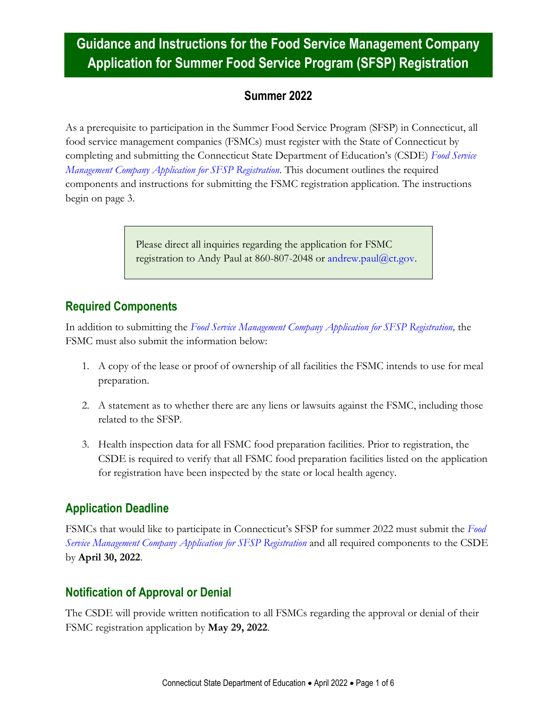### **Summer 2022**

As a prerequisite to participation in the Summer Food Service Program (SFSP) in Connecticut, all food service management companies (FSMCs) must register with the State of Connecticut by completing and submitting the Connecticut State Department of Education's (CSDE) *[Food Service](https://portal.ct.gov/-/media/SDE/Nutrition/FSMC/SFSP_Food_Service_Management_Company_Application.pdf)  [Management Company Application for SFSP Registration.](https://portal.ct.gov/-/media/SDE/Nutrition/FSMC/SFSP_Food_Service_Management_Company_Application.pdf)* This document outlines the required components and instructions for submitting the FSMC registration application. The instructions begin on page 3.

> Please direct all inquiries regarding the application for FSMC registration to Andy Paul at 860-807-2048 or [andrew.paul@ct.gov.](mailto:andrew.paul@ct.gov)

## **Required Components**

In addition to submitting the *[Food Service Management Company Application for SFSP Registration,](https://portal.ct.gov/-/media/SDE/Nutrition/FSMC/SFSP_Food_Service_Management_Company_Application.pdf)* the FSMC must also submit the information below:

- 1. A copy of the lease or proof of ownership of all facilities the FSMC intends to use for meal preparation.
- 2. A statement as to whether there are any liens or lawsuits against the FSMC, including those related to the SFSP.
- 3. Health inspection data for all FSMC food preparation facilities. Prior to registration, the CSDE is required to verify that all FSMC food preparation facilities listed on the application for registration have been inspected by the state or local health agency.

## **Application Deadline**

FSMCs that would like to participate in Connecticut's SFSP for summer 2022 must submit the *[Food](https://portal.ct.gov/-/media/SDE/Nutrition/FSMC/SFSP_Food_Service_Management_Company_Application.pdf)  [Service Management Company Application for SFSP Registration](https://portal.ct.gov/-/media/SDE/Nutrition/FSMC/SFSP_Food_Service_Management_Company_Application.pdf)* and all required components to the CSDE by **April 30, 2022**.

## **Notification of Approval or Denial**

The CSDE will provide written notification to all FSMCs regarding the approval or denial of their FSMC registration application by **May 29, 2022**.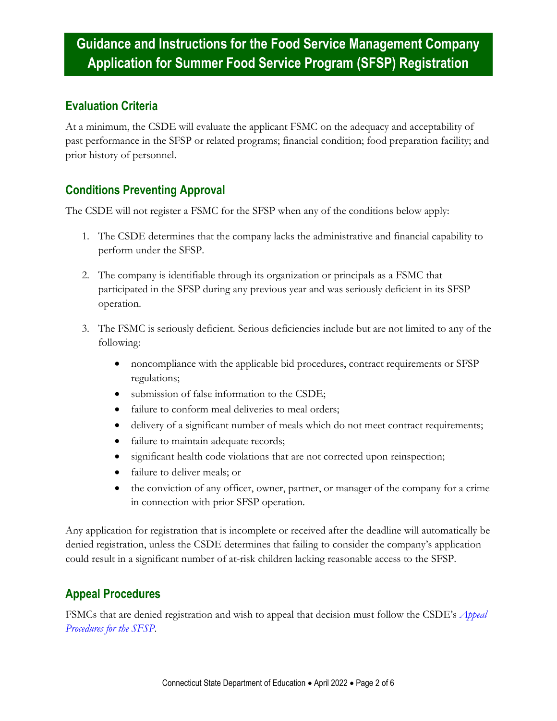### **Evaluation Criteria**

At a minimum, the CSDE will evaluate the applicant FSMC on the adequacy and acceptability of past performance in the SFSP or related programs; financial condition; food preparation facility; and prior history of personnel.

### **Conditions Preventing Approval**

The CSDE will not register a FSMC for the SFSP when any of the conditions below apply:

- 1. The CSDE determines that the company lacks the administrative and financial capability to perform under the SFSP.
- 2. The company is identifiable through its organization or principals as a FSMC that participated in the SFSP during any previous year and was seriously deficient in its SFSP operation.
- 3. The FSMC is seriously deficient. Serious deficiencies include but are not limited to any of the following:
	- noncompliance with the applicable bid procedures, contract requirements or SFSP regulations;
	- submission of false information to the CSDE;
	- failure to conform meal deliveries to meal orders;
	- delivery of a significant number of meals which do not meet contract requirements;
	- failure to maintain adequate records;
	- significant health code violations that are not corrected upon reinspection;
	- failure to deliver meals; or
	- the conviction of any officer, owner, partner, or manager of the company for a crime in connection with prior SFSP operation.

Any application for registration that is incomplete or received after the deadline will automatically be denied registration, unless the CSDE determines that failing to consider the company's application could result in a significant number of at-risk children lacking reasonable access to the SFSP.

### **Appeal Procedures**

FSMCs that are denied registration and wish to appeal that decision must follow the CSDE's *[Appeal](https://portal.ct.gov/-/media/SDE/Nutrition/SFSP/Appeal_Procedures_SFSP.pdf)  [Procedures for the SFSP](https://portal.ct.gov/-/media/SDE/Nutrition/SFSP/Appeal_Procedures_SFSP.pdf)*.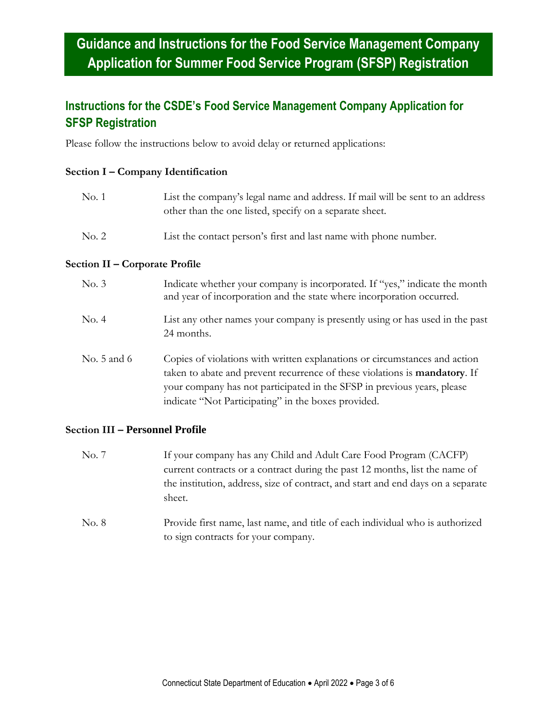## **Instructions for the CSDE's Food Service Management Company Application for SFSP Registration**

Please follow the instructions below to avoid delay or returned applications:

#### **Section I – Company Identification**

| No. 1 | List the company's legal name and address. If mail will be sent to an address<br>other than the one listed, specify on a separate sheet. |
|-------|------------------------------------------------------------------------------------------------------------------------------------------|
| No. 2 | List the contact person's first and last name with phone number.                                                                         |

#### **Section II – Corporate Profile**

| No. 3       | Indicate whether your company is incorporated. If "yes," indicate the month<br>and year of incorporation and the state where incorporation occurred.                                                                                                                                               |
|-------------|----------------------------------------------------------------------------------------------------------------------------------------------------------------------------------------------------------------------------------------------------------------------------------------------------|
| No. 4       | List any other names your company is presently using or has used in the past<br>24 months.                                                                                                                                                                                                         |
| No. 5 and 6 | Copies of violations with written explanations or circumstances and action<br>taken to abate and prevent recurrence of these violations is <b>mandatory</b> . If<br>your company has not participated in the SFSP in previous years, please<br>indicate "Not Participating" in the boxes provided. |

#### **Section III – Personnel Profile**

- No. 7 If your company has any Child and Adult Care Food Program (CACFP) current contracts or a contract during the past 12 months, list the name of the institution, address, size of contract, and start and end days on a separate sheet.
- No. 8 Provide first name, last name, and title of each individual who is authorized to sign contracts for your company.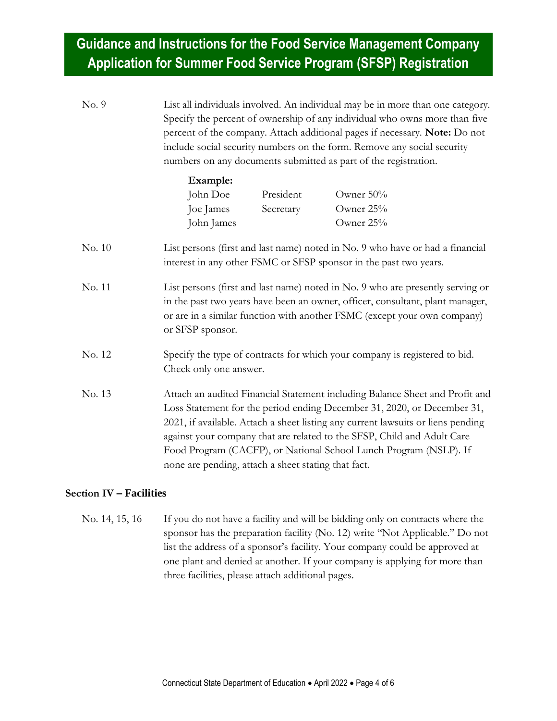No. 9 List all individuals involved. An individual may be in more than one category. Specify the percent of ownership of any individual who owns more than five percent of the company. Attach additional pages if necessary. **Note:** Do not include social security numbers on the form. Remove any social security numbers on any documents submitted as part of the registration.

| Example:   |           |              |
|------------|-----------|--------------|
| John Doe   | President | Owner $50\%$ |
| Joe James  | Secretary | Owner $25%$  |
| John James |           | Owner $25%$  |

- No. 10 List persons (first and last name) noted in No. 9 who have or had a financial interest in any other FSMC or SFSP sponsor in the past two years.
- No. 11 List persons (first and last name) noted in No. 9 who are presently serving or in the past two years have been an owner, officer, consultant, plant manager, or are in a similar function with another FSMC (except your own company) or SFSP sponsor.
- No. 12 Specify the type of contracts for which your company is registered to bid. Check only one answer.
- No. 13 Attach an audited Financial Statement including Balance Sheet and Profit and Loss Statement for the period ending December 31, 2020, or December 31, 2021, if available. Attach a sheet listing any current lawsuits or liens pending against your company that are related to the SFSP, Child and Adult Care Food Program (CACFP), or National School Lunch Program (NSLP). If none are pending, attach a sheet stating that fact.

#### **Section IV – Facilities**

No. 14, 15, 16 If you do not have a facility and will be bidding only on contracts where the sponsor has the preparation facility (No. 12) write "Not Applicable." Do not list the address of a sponsor's facility. Your company could be approved at one plant and denied at another. If your company is applying for more than three facilities, please attach additional pages.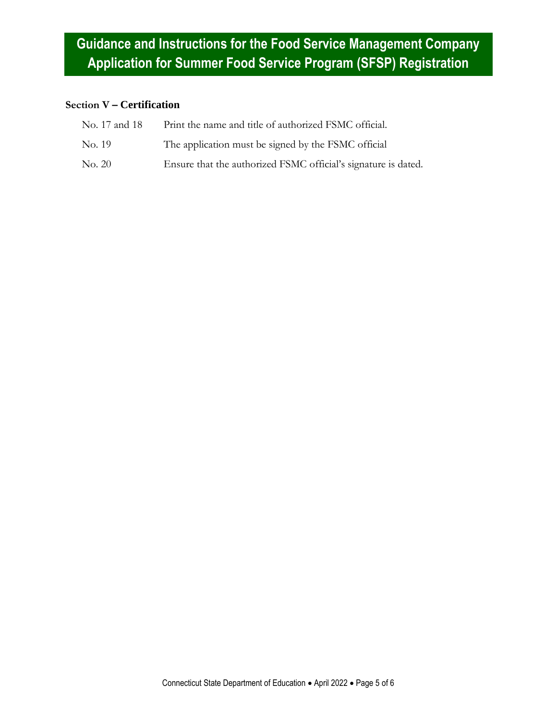### **Section V – Certification**

| No. 17 and 18 | Print the name and title of authorized FSMC official.          |
|---------------|----------------------------------------------------------------|
| No. 19        | The application must be signed by the FSMC official            |
| No. 20        | Ensure that the authorized FSMC official's signature is dated. |